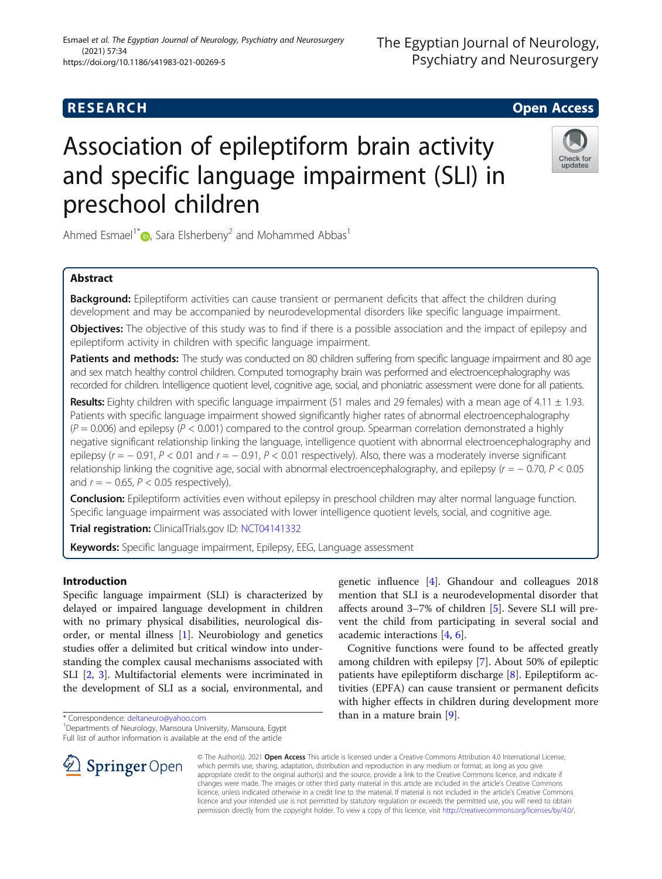# Association of epileptiform brain activity and specific language impairment (SLI) in preschool children

Ahmed Esmael<sup>1[\\*](http://orcid.org/0000-0003-2879-7392)</sup> $\bullet$ , Sara Elsherbeny<sup>2</sup> and Mohammed Abbas<sup>1</sup>

# Abstract

Background: Epileptiform activities can cause transient or permanent deficits that affect the children during development and may be accompanied by neurodevelopmental disorders like specific language impairment.

**Objectives:** The objective of this study was to find if there is a possible association and the impact of epilepsy and epileptiform activity in children with specific language impairment.

Patients and methods: The study was conducted on 80 children suffering from specific language impairment and 80 age and sex match healthy control children. Computed tomography brain was performed and electroencephalography was recorded for children. Intelligence quotient level, cognitive age, social, and phoniatric assessment were done for all patients.

Results: Eighty children with specific language impairment (51 males and 29 females) with a mean age of 4.11  $\pm$  1.93. Patients with specific language impairment showed significantly higher rates of abnormal electroencephalography  $(P = 0.006)$  and epilepsy  $(P < 0.001)$  compared to the control group. Spearman correlation demonstrated a highly negative significant relationship linking the language, intelligence quotient with abnormal electroencephalography and epilepsy ( $r = -0.91$ ,  $P < 0.01$  and  $r = -0.91$ ,  $P < 0.01$  respectively). Also, there was a moderately inverse significant relationship linking the cognitive age, social with abnormal electroencephalography, and epilepsy ( $r = -0.70$ ,  $P < 0.05$ ) and  $r = -0.65$ ,  $P < 0.05$  respectively).

Conclusion: Epileptiform activities even without epilepsy in preschool children may alter normal language function. Specific language impairment was associated with lower intelligence quotient levels, social, and cognitive age.

Trial registration: ClinicalTrials.gov ID: [NCT04141332](https://clinicaltrials.gov/ct2/show/NCT04141332)

Keywords: Specific language impairment, Epilepsy, EEG, Language assessment

# Introduction

Specific language impairment (SLI) is characterized by delayed or impaired language development in children with no primary physical disabilities, neurological disorder, or mental illness [[1\]](#page-5-0). Neurobiology and genetics studies offer a delimited but critical window into understanding the complex causal mechanisms associated with SLI [[2,](#page-5-0) [3\]](#page-5-0). Multifactorial elements were incriminated in the development of SLI as a social, environmental, and

\* Correspondence: [deltaneuro@yahoo.com](mailto:deltaneuro@yahoo.com) <sup>1</sup>

<sup>1</sup> Departments of Neurology, Mansoura University, Mansoura, Egypt Full list of author information is available at the end of the article

genetic influence [\[4](#page-5-0)]. Ghandour and colleagues 2018 mention that SLI is a neurodevelopmental disorder that affects around 3–7% of children [[5](#page-5-0)]. Severe SLI will prevent the child from participating in several social and academic interactions [[4,](#page-5-0) [6\]](#page-5-0).

Cognitive functions were found to be affected greatly among children with epilepsy [[7\]](#page-5-0). About 50% of epileptic patients have epileptiform discharge [[8\]](#page-5-0). Epileptiform activities (EPFA) can cause transient or permanent deficits with higher effects in children during development more than in a mature brain [[9](#page-5-0)].



© The Author(s). 2021 Open Access This article is licensed under a Creative Commons Attribution 4.0 International License, which permits use, sharing, adaptation, distribution and reproduction in any medium or format, as long as you give appropriate credit to the original author(s) and the source, provide a link to the Creative Commons licence, and indicate if changes were made. The images or other third party material in this article are included in the article's Creative Commons licence, unless indicated otherwise in a credit line to the material. If material is not included in the article's Creative Commons licence and your intended use is not permitted by statutory regulation or exceeds the permitted use, you will need to obtain permission directly from the copyright holder. To view a copy of this licence, visit <http://creativecommons.org/licenses/by/4.0/>.



Check for updates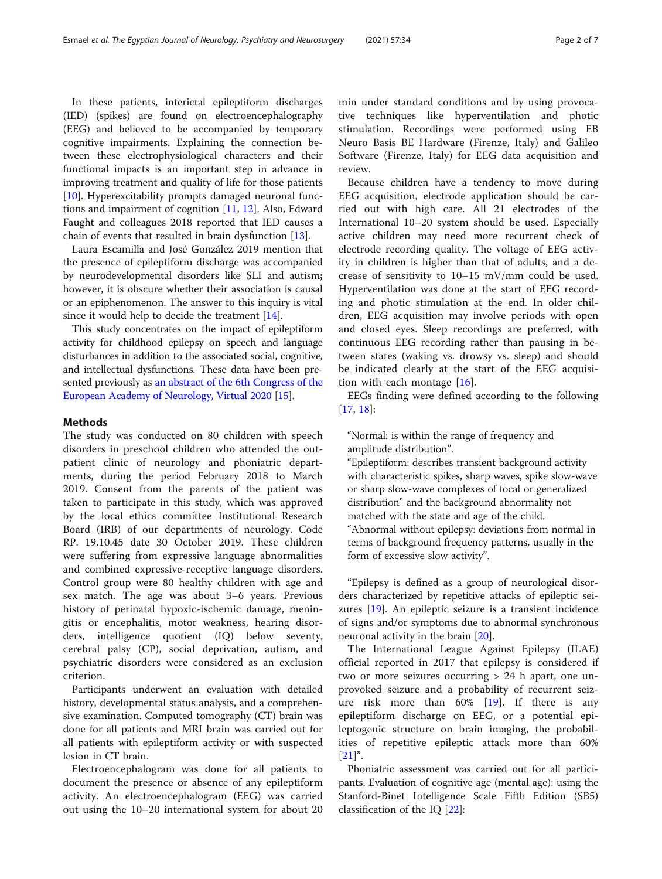In these patients, interictal epileptiform discharges (IED) (spikes) are found on electroencephalography (EEG) and believed to be accompanied by temporary cognitive impairments. Explaining the connection between these electrophysiological characters and their functional impacts is an important step in advance in improving treatment and quality of life for those patients [[10\]](#page-5-0). Hyperexcitability prompts damaged neuronal functions and impairment of cognition [\[11](#page-5-0), [12](#page-5-0)]. Also, Edward Faught and colleagues 2018 reported that IED causes a chain of events that resulted in brain dysfunction [\[13](#page-5-0)].

Laura Escamilla and José González 2019 mention that the presence of epileptiform discharge was accompanied by neurodevelopmental disorders like SLI and autism; however, it is obscure whether their association is causal or an epiphenomenon. The answer to this inquiry is vital since it would help to decide the treatment  $[14]$  $[14]$  $[14]$ .

This study concentrates on the impact of epileptiform activity for childhood epilepsy on speech and language disturbances in addition to the associated social, cognitive, and intellectual dysfunctions. These data have been presented previously as [an abstract of the 6th Congress of the](https://onlinelibrary.wiley.com/toc/14681331/2020/27/S1) [European Academy of Neurology, Virtual 2020](https://onlinelibrary.wiley.com/toc/14681331/2020/27/S1) [\[15\]](#page-5-0).

## Methods

The study was conducted on 80 children with speech disorders in preschool children who attended the outpatient clinic of neurology and phoniatric departments, during the period February 2018 to March 2019. Consent from the parents of the patient was taken to participate in this study, which was approved by the local ethics committee Institutional Research Board (IRB) of our departments of neurology. Code RP. 19.10.45 date 30 October 2019. These children were suffering from expressive language abnormalities and combined expressive-receptive language disorders. Control group were 80 healthy children with age and sex match. The age was about 3–6 years. Previous history of perinatal hypoxic-ischemic damage, meningitis or encephalitis, motor weakness, hearing disorders, intelligence quotient (IQ) below seventy, cerebral palsy (CP), social deprivation, autism, and psychiatric disorders were considered as an exclusion criterion.

Participants underwent an evaluation with detailed history, developmental status analysis, and a comprehensive examination. Computed tomography (CT) brain was done for all patients and MRI brain was carried out for all patients with epileptiform activity or with suspected lesion in CT brain.

Electroencephalogram was done for all patients to document the presence or absence of any epileptiform activity. An electroencephalogram (EEG) was carried out using the 10–20 international system for about 20

min under standard conditions and by using provocative techniques like hyperventilation and photic stimulation. Recordings were performed using EB Neuro Basis BE Hardware (Firenze, Italy) and Galileo Software (Firenze, Italy) for EEG data acquisition and review.

Because children have a tendency to move during EEG acquisition, electrode application should be carried out with high care. All 21 electrodes of the International 10–20 system should be used. Especially active children may need more recurrent check of electrode recording quality. The voltage of EEG activity in children is higher than that of adults, and a decrease of sensitivity to 10–15 mV/mm could be used. Hyperventilation was done at the start of EEG recording and photic stimulation at the end. In older children, EEG acquisition may involve periods with open and closed eyes. Sleep recordings are preferred, with continuous EEG recording rather than pausing in between states (waking vs. drowsy vs. sleep) and should be indicated clearly at the start of the EEG acquisition with each montage [\[16](#page-5-0)].

EEGs finding were defined according to the following [[17,](#page-6-0) [18\]](#page-6-0):

"Normal: is within the range of frequency and amplitude distribution".

"Epileptiform: describes transient background activity with characteristic spikes, sharp waves, spike slow-wave or sharp slow-wave complexes of focal or generalized distribution" and the background abnormality not matched with the state and age of the child. "Abnormal without epilepsy: deviations from normal in terms of background frequency patterns, usually in the form of excessive slow activity".

"Epilepsy is defined as a group of neurological disorders characterized by repetitive attacks of epileptic seizures [[19](#page-6-0)]. An epileptic seizure is a transient incidence of signs and/or symptoms due to abnormal synchronous neuronal activity in the brain [\[20\]](#page-6-0).

The International League Against Epilepsy (ILAE) official reported in 2017 that epilepsy is considered if two or more seizures occurring > 24 h apart, one unprovoked seizure and a probability of recurrent seizure risk more than 60% [[19\]](#page-6-0). If there is any epileptiform discharge on EEG, or a potential epileptogenic structure on brain imaging, the probabilities of repetitive epileptic attack more than 60%  $[21]$  $[21]$ ".

Phoniatric assessment was carried out for all participants. Evaluation of cognitive age (mental age): using the Stanford-Binet Intelligence Scale Fifth Edition (SB5) classification of the IQ [\[22](#page-6-0)]: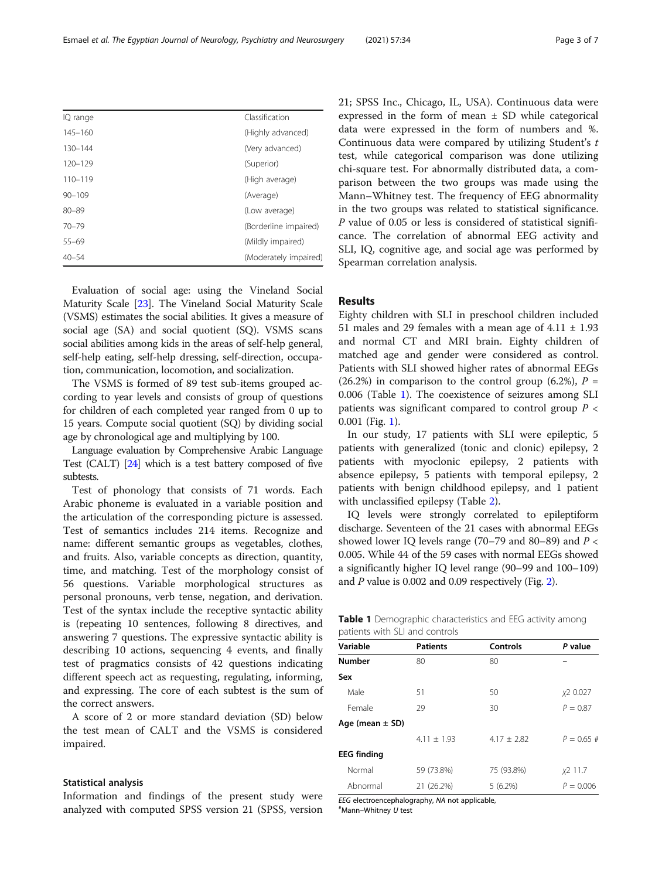Evaluation of social age: using the Vineland Social Maturity Scale [[23](#page-6-0)]. The Vineland Social Maturity Scale (VSMS) estimates the social abilities. It gives a measure of social age (SA) and social quotient (SQ). VSMS scans social abilities among kids in the areas of self-help general, self-help eating, self-help dressing, self-direction, occupation, communication, locomotion, and socialization.

The VSMS is formed of 89 test sub-items grouped according to year levels and consists of group of questions for children of each completed year ranged from 0 up to 15 years. Compute social quotient (SQ) by dividing social age by chronological age and multiplying by 100.

Language evaluation by Comprehensive Arabic Language Test (CALT) [\[24\]](#page-6-0) which is a test battery composed of five subtests.

Test of phonology that consists of 71 words. Each Arabic phoneme is evaluated in a variable position and the articulation of the corresponding picture is assessed. Test of semantics includes 214 items. Recognize and name: different semantic groups as vegetables, clothes, and fruits. Also, variable concepts as direction, quantity, time, and matching. Test of the morphology consist of 56 questions. Variable morphological structures as personal pronouns, verb tense, negation, and derivation. Test of the syntax include the receptive syntactic ability is (repeating 10 sentences, following 8 directives, and answering 7 questions. The expressive syntactic ability is describing 10 actions, sequencing 4 events, and finally test of pragmatics consists of 42 questions indicating different speech act as requesting, regulating, informing, and expressing. The core of each subtest is the sum of the correct answers.

A score of 2 or more standard deviation (SD) below the test mean of CALT and the VSMS is considered impaired.

#### Statistical analysis

Information and findings of the present study were analyzed with computed SPSS version 21 (SPSS, version 21; SPSS Inc., Chicago, IL, USA). Continuous data were expressed in the form of mean  $\pm$  SD while categorical data were expressed in the form of numbers and %. Continuous data were compared by utilizing Student's t test, while categorical comparison was done utilizing chi-square test. For abnormally distributed data, a comparison between the two groups was made using the Mann–Whitney test. The frequency of EEG abnormality in the two groups was related to statistical significance. P value of 0.05 or less is considered of statistical significance. The correlation of abnormal EEG activity and SLI, IQ, cognitive age, and social age was performed by Spearman correlation analysis.

## Results

Eighty children with SLI in preschool children included 51 males and 29 females with a mean age of  $4.11 \pm 1.93$ and normal CT and MRI brain. Eighty children of matched age and gender were considered as control. Patients with SLI showed higher rates of abnormal EEGs (26.2%) in comparison to the control group (6.2%),  $P =$ 0.006 (Table 1). The coexistence of seizures among SLI patients was significant compared to control group  $P \leq$ 0.001 (Fig. [1](#page-3-0)).

In our study, 17 patients with SLI were epileptic, 5 patients with generalized (tonic and clonic) epilepsy, 2 patients with myoclonic epilepsy, 2 patients with absence epilepsy, 5 patients with temporal epilepsy, 2 patients with benign childhood epilepsy, and 1 patient with unclassified epilepsy (Table [2](#page-3-0)).

IQ levels were strongly correlated to epileptiform discharge. Seventeen of the 21 cases with abnormal EEGs showed lower IO levels range (70–79 and 80–89) and  $P \lt \sqrt{P}$ 0.005. While 44 of the 59 cases with normal EEGs showed a significantly higher IQ level range (90–99 and 100–109) and P value is 0.002 and 0.09 respectively (Fig. [2\)](#page-4-0).

**Table 1** Demographic characteristics and EEG activity among patients with SLI and controls

| Variable            | <b>Patients</b> | Controls      | P value       |
|---------------------|-----------------|---------------|---------------|
| <b>Number</b>       | 80              | 80            |               |
| Sex                 |                 |               |               |
| Male                | 51              | 50            | x2 0.027      |
| Female              | 29              | 30            | $P = 0.87$    |
| Age (mean $\pm$ SD) |                 |               |               |
|                     | $4.11 + 1.93$   | $4.17 + 2.82$ | $P = 0.65 \#$ |
| <b>EEG finding</b>  |                 |               |               |
| Normal              | 59 (73.8%)      | 75 (93.8%)    | $x2$ 11.7     |
| Abnormal            | 21 (26.2%)      | $5(6.2\%)$    | $P = 0.006$   |

EEG electroencephalography, NA not applicable,

Mann–Whitney U test

|  | Esmael et al. The Egyptian Journal of Neurology, Psychiatry and Neurosurgery | (2021) 57:34 | Page 3 of 7 |
|--|------------------------------------------------------------------------------|--------------|-------------|
|  |                                                                              |              |             |

| IQ range    | Classification        |
|-------------|-----------------------|
| $145 - 160$ | (Highly advanced)     |
| $130 - 144$ | (Very advanced)       |
| $120 - 129$ | (Superior)            |
| $110 - 119$ | (High average)        |
| $90 - 109$  | (Average)             |
| $80 - 89$   | (Low average)         |
| $70 - 79$   | (Borderline impaired) |
| $55 - 69$   | (Mildly impaired)     |
| $40 - 54$   | (Moderately impaired) |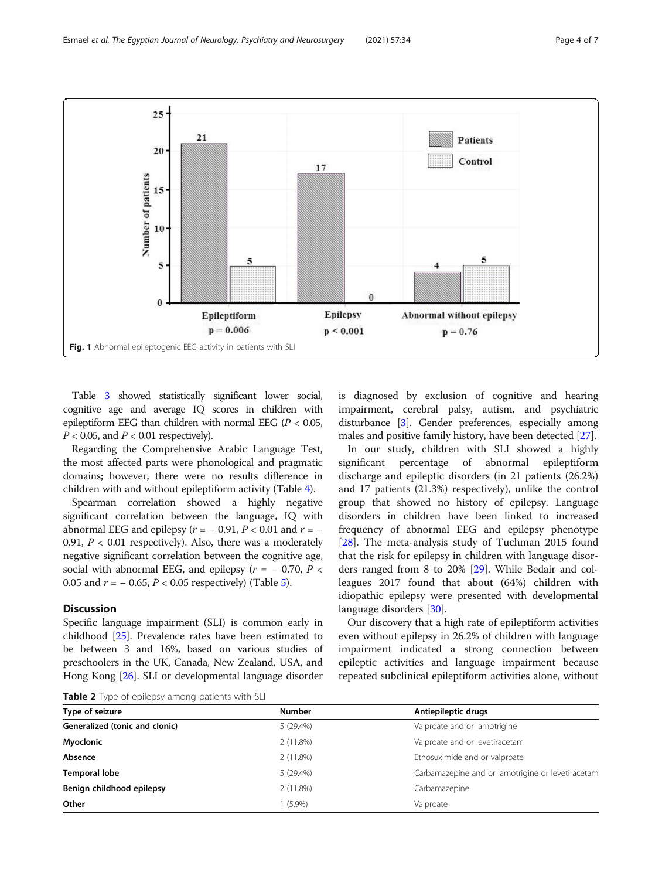<span id="page-3-0"></span>

Table [3](#page-4-0) showed statistically significant lower social, cognitive age and average IQ scores in children with epileptiform EEG than children with normal EEG ( $P < 0.05$ ,  $P < 0.05$ , and  $P < 0.01$  respectively).

Regarding the Comprehensive Arabic Language Test, the most affected parts were phonological and pragmatic domains; however, there were no results difference in children with and without epileptiform activity (Table [4\)](#page-4-0).

Spearman correlation showed a highly negative significant correlation between the language, IQ with abnormal EEG and epilepsy ( $r = -0.91$ ,  $P < 0.01$  and  $r = -$ 0.91,  $P < 0.01$  respectively). Also, there was a moderately negative significant correlation between the cognitive age, social with abnormal EEG, and epilepsy  $(r = -0.70, P <$ 0.05 and  $r = -0.65$ ,  $P < 0.05$  respectively) (Table [5\)](#page-5-0).

## **Discussion**

Specific language impairment (SLI) is common early in childhood [\[25\]](#page-6-0). Prevalence rates have been estimated to be between 3 and 16%, based on various studies of preschoolers in the UK, Canada, New Zealand, USA, and Hong Kong [\[26\]](#page-6-0). SLI or developmental language disorder is diagnosed by exclusion of cognitive and hearing impairment, cerebral palsy, autism, and psychiatric disturbance [[3](#page-5-0)]. Gender preferences, especially among males and positive family history, have been detected [[27](#page-6-0)].

In our study, children with SLI showed a highly significant percentage of abnormal epileptiform discharge and epileptic disorders (in 21 patients (26.2%) and 17 patients (21.3%) respectively), unlike the control group that showed no history of epilepsy. Language disorders in children have been linked to increased frequency of abnormal EEG and epilepsy phenotype [[28\]](#page-6-0). The meta-analysis study of Tuchman 2015 found that the risk for epilepsy in children with language disorders ranged from 8 to 20% [\[29\]](#page-6-0). While Bedair and colleagues 2017 found that about (64%) children with idiopathic epilepsy were presented with developmental language disorders [\[30\]](#page-6-0).

Our discovery that a high rate of epileptiform activities even without epilepsy in 26.2% of children with language impairment indicated a strong connection between epileptic activities and language impairment because repeated subclinical epileptiform activities alone, without

| Table 2 Type of epilepsy among patients with SLI |  |
|--------------------------------------------------|--|
|--------------------------------------------------|--|

| Carbamazepine and or lamotrigine or levetiracetam |
|---------------------------------------------------|
|                                                   |
|                                                   |
|                                                   |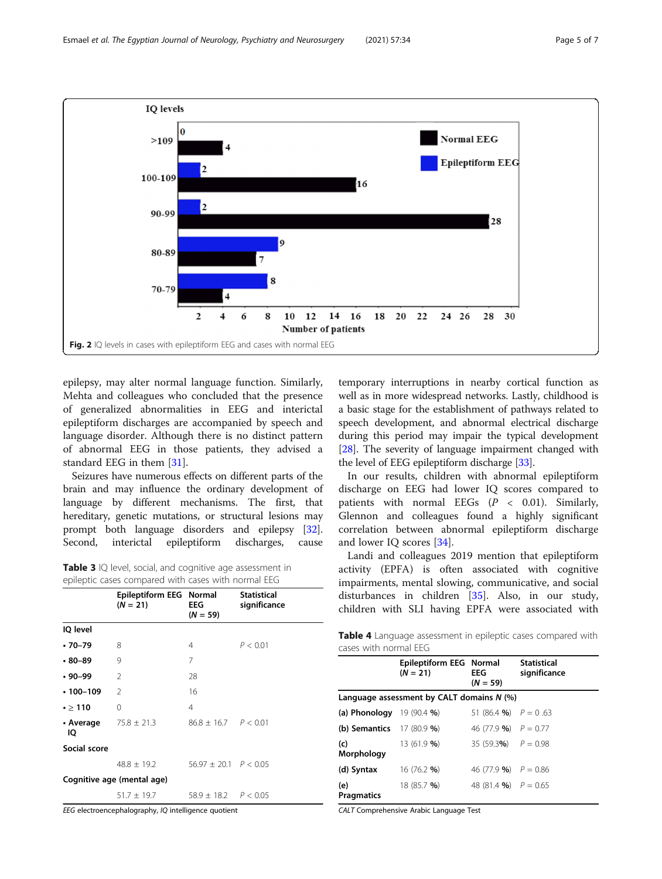<span id="page-4-0"></span>

epilepsy, may alter normal language function. Similarly, Mehta and colleagues who concluded that the presence of generalized abnormalities in EEG and interictal epileptiform discharges are accompanied by speech and language disorder. Although there is no distinct pattern of abnormal EEG in those patients, they advised a standard EEG in them [\[31](#page-6-0)].

Seizures have numerous effects on different parts of the brain and may influence the ordinary development of language by different mechanisms. The first, that hereditary, genetic mutations, or structural lesions may prompt both language disorders and epilepsy [[32](#page-6-0)]. Second, interictal epileptiform discharges, cause

Table 3 IQ level, social, and cognitive age assessment in epileptic cases compared with cases with normal EEG

|                            | Epileptiform EEG Normal<br>$(N = 21)$ | <b>EEG</b><br>$(N = 59)$    | <b>Statistical</b><br>significance |  |
|----------------------------|---------------------------------------|-----------------------------|------------------------------------|--|
| IQ level                   |                                       |                             |                                    |  |
| $.70 - 79$                 | 8                                     | 4                           | P < 0.01                           |  |
| $.80 - 89$                 | 9                                     | 7                           |                                    |  |
| • 90–99                    | $\overline{2}$                        | 28                          |                                    |  |
| $.100 - 109$               | $\mathfrak{D}$                        | 16                          |                                    |  |
| $\cdot \geq 110$           | 0                                     | $\overline{4}$              |                                    |  |
| IQ                         | • Average $75.8 \pm 21.3$             | $86.8 \pm 16.7$ $P < 0.01$  |                                    |  |
| Social score               |                                       |                             |                                    |  |
|                            | 48.8 ± 19.2                           | $56.97 \pm 20.1$ $P < 0.05$ |                                    |  |
| Cognitive age (mental age) |                                       |                             |                                    |  |
|                            | $51.7 \pm 19.7$                       | $58.9 \pm 18.2$ $P < 0.05$  |                                    |  |

EEG electroencephalography, IQ intelligence quotient

temporary interruptions in nearby cortical function as well as in more widespread networks. Lastly, childhood is a basic stage for the establishment of pathways related to speech development, and abnormal electrical discharge during this period may impair the typical development [[28](#page-6-0)]. The severity of language impairment changed with the level of EEG epileptiform discharge [[33](#page-6-0)].

In our results, children with abnormal epileptiform discharge on EEG had lower IQ scores compared to patients with normal EEGs  $(P < 0.01)$ . Similarly, Glennon and colleagues found a highly significant correlation between abnormal epileptiform discharge and lower IQ scores [\[34](#page-6-0)].

Landi and colleagues 2019 mention that epileptiform activity (EPFA) is often associated with cognitive impairments, mental slowing, communicative, and social disturbances in children [[35](#page-6-0)]. Also, in our study, children with SLI having EPFA were associated with

Table 4 Language assessment in epileptic cases compared with cases with normal EEG

|                                             | Epileptiform EEG Normal<br>$(N = 21)$ | EEG<br>$(N = 59)$      | <b>Statistical</b><br>significance |  |
|---------------------------------------------|---------------------------------------|------------------------|------------------------------------|--|
| Language assessment by CALT domains $N$ (%) |                                       |                        |                                    |  |
| (a) Phonology $19(90.4\%)$                  |                                       | 51 (86.4 %) $P = 0.63$ |                                    |  |
| <b>(b) Semantics</b> 17 (80.9 %)            |                                       | 46 (77.9 %) $P = 0.77$ |                                    |  |
| (c)<br>Morphology                           | 13 (61.9 <b>%</b> )                   | 35 (59.3%) $P = 0.98$  |                                    |  |
| (d) Syntax                                  | 16 $(76.2 \, \text{%)}$               | 46 (77.9 %) $P = 0.86$ |                                    |  |
| (e)<br><b>Pragmatics</b>                    | 18 (85.7 %)                           | 48 (81.4 %) $P = 0.65$ |                                    |  |

CALT Comprehensive Arabic Language Test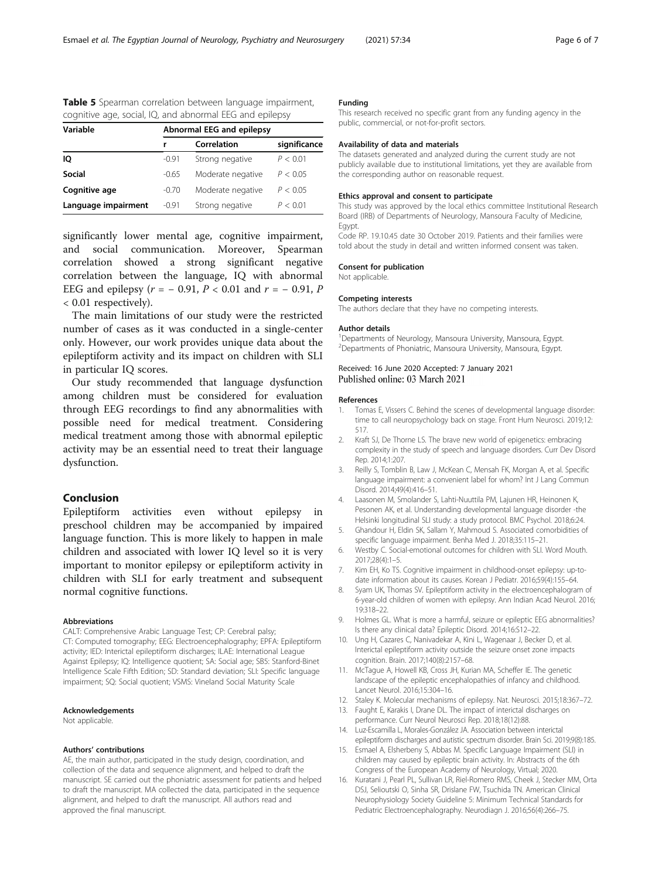## <span id="page-5-0"></span>Table 5 Spearman correlation between language impairment, cognitive age, social, IQ, and abnormal EEG and epilepsy

| Variable            | Abnormal EEG and epilepsy |                   |              |  |
|---------------------|---------------------------|-------------------|--------------|--|
|                     |                           | Correlation       | significance |  |
| IQ                  | $-0.91$                   | Strong negative   | P < 0.01     |  |
| Social              | $-0.65$                   | Moderate negative | P < 0.05     |  |
| Cognitive age       | $-0.70$                   | Moderate negative | P < 0.05     |  |
| Language impairment | $-0.91$                   | Strong negative   | P < 0.01     |  |

significantly lower mental age, cognitive impairment, and social communication. Moreover, Spearman correlation showed a strong significant negative correlation between the language, IQ with abnormal EEG and epilepsy ( $r = -0.91$ ,  $P < 0.01$  and  $r = -0.91$ ,  $P$ < 0.01 respectively).

The main limitations of our study were the restricted number of cases as it was conducted in a single-center only. However, our work provides unique data about the epileptiform activity and its impact on children with SLI in particular IQ scores.

Our study recommended that language dysfunction among children must be considered for evaluation through EEG recordings to find any abnormalities with possible need for medical treatment. Considering medical treatment among those with abnormal epileptic activity may be an essential need to treat their language dysfunction.

## Conclusion

Epileptiform activities even without epilepsy in preschool children may be accompanied by impaired language function. This is more likely to happen in male children and associated with lower IQ level so it is very important to monitor epilepsy or epileptiform activity in children with SLI for early treatment and subsequent normal cognitive functions.

#### Abbreviations

CALT: Comprehensive Arabic Language Test; CP: Cerebral palsy; CT: Computed tomography; EEG: Electroencephalography; EPFA: Epileptiform activity; IED: Interictal epileptiform discharges; ILAE: International League Against Epilepsy; IQ: Intelligence quotient; SA: Social age; SB5: Stanford-Binet Intelligence Scale Fifth Edition; SD: Standard deviation; SLI: Specific language impairment; SQ: Social quotient; VSMS: Vineland Social Maturity Scale

#### Acknowledgements

Not applicable.

#### Authors' contributions

AE, the main author, participated in the study design, coordination, and collection of the data and sequence alignment, and helped to draft the manuscript. SE carried out the phoniatric assessment for patients and helped to draft the manuscript. MA collected the data, participated in the sequence alignment, and helped to draft the manuscript. All authors read and approved the final manuscript.

#### Funding

This research received no specific grant from any funding agency in the public, commercial, or not-for-profit sectors.

#### Availability of data and materials

The datasets generated and analyzed during the current study are not publicly available due to institutional limitations, yet they are available from the corresponding author on reasonable request.

#### Ethics approval and consent to participate

This study was approved by the local ethics committee Institutional Research Board (IRB) of Departments of Neurology, Mansoura Faculty of Medicine, Egypt.

Code RP. 19.10.45 date 30 October 2019. Patients and their families were told about the study in detail and written informed consent was taken.

#### Consent for publication

Not applicable.

#### Competing interests

The authors declare that they have no competing interests.

#### Author details

<sup>1</sup> Departments of Neurology, Mansoura University, Mansoura, Egypt. 2 Departments of Phoniatric, Mansoura University, Mansoura, Egypt.

#### Received: 16 June 2020 Accepted: 7 January 2021 Published online: 03 March 2021

#### References

- 1. Tomas E, Vissers C. Behind the scenes of developmental language disorder: time to call neuropsychology back on stage. Front Hum Neurosci. 2019;12: 517.
- 2. Kraft SJ, De Thorne LS. The brave new world of epigenetics: embracing complexity in the study of speech and language disorders. Curr Dev Disord Rep. 2014;1:207.
- 3. Reilly S, Tomblin B, Law J, McKean C, Mensah FK, Morgan A, et al. Specific language impairment: a convenient label for whom? Int J Lang Commun Disord. 2014;49(4):416–51.
- 4. Laasonen M, Smolander S, Lahti-Nuuttila PM, Lajunen HR, Heinonen K, Pesonen AK, et al. Understanding developmental language disorder -the Helsinki longitudinal SLI study: a study protocol. BMC Psychol. 2018;6:24.
- 5. Ghandour H, Eldin SK, Sallam Y, Mahmoud S. Associated comorbidities of specific language impairment. Benha Med J. 2018;35:115–21.
- 6. Westby C. Social-emotional outcomes for children with SLI. Word Mouth. 2017;28(4):1–5.
- 7. Kim EH, Ko TS. Cognitive impairment in childhood-onset epilepsy: up-todate information about its causes. Korean J Pediatr. 2016;59(4):155–64.
- 8. Syam UK, Thomas SV. Epileptiform activity in the electroencephalogram of 6-year-old children of women with epilepsy. Ann Indian Acad Neurol. 2016; 19:318–22.
- 9. Holmes GL. What is more a harmful, seizure or epileptic EEG abnormalities? Is there any clinical data? Epileptic Disord. 2014;16:S12–22.
- 10. Ung H, Cazares C, Nanivadekar A, Kini L, Wagenaar J, Becker D, et al. Interictal epileptiform activity outside the seizure onset zone impacts cognition. Brain. 2017;140(8):2157–68.
- 11. McTague A, Howell KB, Cross JH, Kurian MA, Scheffer IE. The genetic landscape of the epileptic encephalopathies of infancy and childhood. Lancet Neurol. 2016;15:304–16.
- 12. Staley K. Molecular mechanisms of epilepsy. Nat. Neurosci. 2015;18:367–72.
- 13. Faught E, Karakis I, Drane DL. The impact of interictal discharges on
- performance. Curr Neurol Neurosci Rep. 2018;18(12):88. 14. Luz-Escamilla L, Morales-González JA. Association between interictal
- epileptiform discharges and autistic spectrum disorder. Brain Sci. 2019;9(8):185. 15. Esmael A, Elsherbeny S, Abbas M. Specific Language Impairment (SLI) in
- children may caused by epileptic brain activity. In: Abstracts of the 6th Congress of the European Academy of Neurology, Virtual; 2020.
- 16. Kuratani J, Pearl PL, Sullivan LR, Riel-Romero RMS, Cheek J, Stecker MM, Orta DSJ, Selioutski O, Sinha SR, Drislane FW, Tsuchida TN. American Clinical Neurophysiology Society Guideline 5: Minimum Technical Standards for Pediatric Electroencephalography. Neurodiagn J. 2016;56(4):266–75.